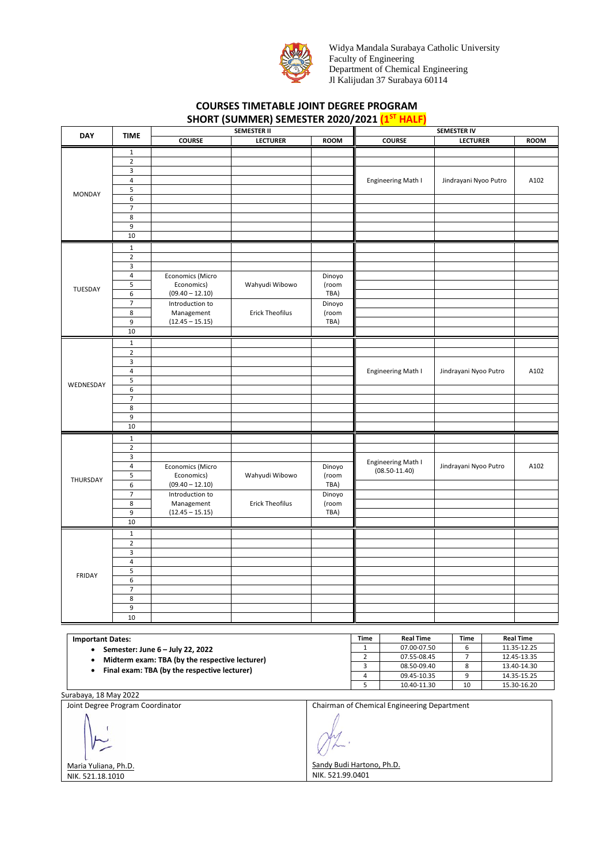

Widya Mandala Surabaya Catholic University Faculty of Engineering Department of Chemical Engineering Jl Kalijudan 37 Surabaya 60114

## **COURSES TIMETABLE JOINT DEGREE PROGRAM SHORT (SUMMER) SEMESTER 2020/2021 (1ST HALF)**

| <b>DAY</b>                                                                                                                                           | <b>TIME</b>             | <b>SEMESTER II</b> |                        |                | <b>SEMESTER IV</b> |                           |                       |                       |             |  |
|------------------------------------------------------------------------------------------------------------------------------------------------------|-------------------------|--------------------|------------------------|----------------|--------------------|---------------------------|-----------------------|-----------------------|-------------|--|
|                                                                                                                                                      |                         | <b>COURSE</b>      | <b>LECTURER</b>        | <b>ROOM</b>    |                    | <b>COURSE</b>             | <b>LECTURER</b>       |                       | <b>ROOM</b> |  |
|                                                                                                                                                      | 1                       |                    |                        |                |                    |                           |                       |                       |             |  |
|                                                                                                                                                      | $\mathbf 2$             |                    |                        |                |                    |                           |                       |                       |             |  |
|                                                                                                                                                      | 3                       |                    |                        |                |                    |                           |                       |                       |             |  |
| <b>MONDAY</b>                                                                                                                                        | $\pmb{4}$               |                    |                        |                |                    | Engineering Math I        | Jindrayani Nyoo Putro |                       | A102        |  |
|                                                                                                                                                      | 5                       |                    |                        |                |                    |                           |                       |                       |             |  |
|                                                                                                                                                      | 6                       |                    |                        |                |                    |                           |                       |                       |             |  |
|                                                                                                                                                      | 7                       |                    |                        |                |                    |                           |                       |                       |             |  |
|                                                                                                                                                      | 8                       |                    |                        |                |                    |                           |                       |                       |             |  |
|                                                                                                                                                      | 9                       |                    |                        |                |                    |                           |                       |                       |             |  |
|                                                                                                                                                      | 10                      |                    |                        |                |                    |                           |                       |                       |             |  |
|                                                                                                                                                      |                         |                    |                        |                |                    |                           |                       |                       |             |  |
|                                                                                                                                                      | $\mathbf{1}$            |                    |                        |                |                    |                           |                       |                       |             |  |
|                                                                                                                                                      | $\overline{2}$          |                    |                        |                |                    |                           |                       |                       |             |  |
| TUESDAY                                                                                                                                              | 3                       |                    |                        |                |                    |                           |                       |                       |             |  |
|                                                                                                                                                      | $\pmb{4}$               | Economics (Micro   |                        | Dinoyo         |                    |                           |                       |                       |             |  |
|                                                                                                                                                      | 5                       | Economics)         | Wahyudi Wibowo         | (room          |                    |                           |                       |                       |             |  |
|                                                                                                                                                      | 6                       | $(09.40 - 12.10)$  |                        | TBA)           |                    |                           |                       |                       |             |  |
|                                                                                                                                                      | $\overline{7}$          | Introduction to    |                        | Dinoyo         |                    |                           |                       |                       |             |  |
|                                                                                                                                                      | 8                       | Management         | <b>Erick Theofilus</b> | (room          |                    |                           |                       |                       |             |  |
| WEDNESDAY                                                                                                                                            | 9                       | $(12.45 - 15.15)$  |                        | TBA)           |                    |                           |                       |                       |             |  |
|                                                                                                                                                      | 10                      |                    |                        |                |                    |                           |                       |                       |             |  |
|                                                                                                                                                      | $\mathbf 1$             |                    |                        |                |                    |                           |                       |                       |             |  |
|                                                                                                                                                      | $\mathbf 2$             |                    |                        |                |                    |                           |                       |                       |             |  |
|                                                                                                                                                      | 3                       |                    |                        |                |                    |                           |                       |                       |             |  |
|                                                                                                                                                      | $\pmb{4}$               |                    |                        |                |                    | <b>Engineering Math I</b> | Jindrayani Nyoo Putro |                       | A102        |  |
|                                                                                                                                                      | 5                       |                    |                        |                |                    |                           |                       |                       |             |  |
|                                                                                                                                                      | 6                       |                    |                        |                |                    |                           |                       |                       |             |  |
|                                                                                                                                                      | 7                       |                    |                        |                |                    |                           |                       |                       |             |  |
|                                                                                                                                                      | 8                       |                    |                        |                |                    |                           |                       |                       |             |  |
|                                                                                                                                                      | 9                       |                    |                        |                |                    |                           |                       |                       |             |  |
|                                                                                                                                                      | 10                      |                    |                        |                |                    |                           |                       |                       |             |  |
|                                                                                                                                                      | $\mathbf 1$             |                    |                        |                |                    |                           |                       |                       |             |  |
|                                                                                                                                                      | $\overline{2}$          |                    |                        |                |                    |                           |                       |                       |             |  |
|                                                                                                                                                      | 3                       |                    |                        |                |                    |                           |                       |                       |             |  |
|                                                                                                                                                      | $\pmb{4}$               | Economics (Micro   |                        | Dinoyo         |                    | Engineering Math I        |                       | Jindrayani Nyoo Putro |             |  |
|                                                                                                                                                      | 5                       | Economics)         | Wahyudi Wibowo         | (room          |                    | $(08.50 - 11.40)$         |                       |                       |             |  |
| THURSDAY                                                                                                                                             | 6                       | $(09.40 - 12.10)$  |                        | TBA)           |                    |                           |                       |                       |             |  |
|                                                                                                                                                      | $\overline{7}$          | Introduction to    |                        | Dinoyo         |                    |                           |                       |                       |             |  |
|                                                                                                                                                      | 8                       | Management         | <b>Erick Theofilus</b> | (room          |                    |                           |                       |                       |             |  |
|                                                                                                                                                      | 9                       | $(12.45 - 15.15)$  |                        | TBA)           |                    |                           |                       |                       |             |  |
|                                                                                                                                                      | 10                      |                    |                        |                |                    |                           |                       |                       |             |  |
|                                                                                                                                                      | $\mathbf 1$             |                    |                        |                |                    |                           |                       |                       |             |  |
|                                                                                                                                                      | $\mathbf 2$             |                    |                        |                |                    |                           |                       |                       |             |  |
|                                                                                                                                                      | 3                       |                    |                        |                |                    |                           |                       |                       |             |  |
|                                                                                                                                                      | 4                       |                    |                        |                |                    |                           |                       |                       |             |  |
|                                                                                                                                                      | 5                       |                    |                        |                |                    |                           |                       |                       |             |  |
| <b>FRIDAY</b>                                                                                                                                        | 6                       |                    |                        |                |                    |                           |                       |                       |             |  |
|                                                                                                                                                      | $\prime$                |                    |                        |                |                    |                           |                       |                       |             |  |
|                                                                                                                                                      | 8                       |                    |                        |                |                    |                           |                       |                       |             |  |
|                                                                                                                                                      | 9                       |                    |                        |                |                    |                           |                       |                       |             |  |
|                                                                                                                                                      | 10                      |                    |                        |                |                    |                           |                       |                       |             |  |
|                                                                                                                                                      |                         |                    |                        |                |                    |                           |                       |                       |             |  |
|                                                                                                                                                      | <b>Important Dates:</b> |                    |                        | Time           | <b>Real Time</b>   | Time                      |                       | <b>Real Time</b>      |             |  |
| Semester: June 6 - July 22, 2022<br>٠<br>Midterm exam: TBA (by the respective lecturer)<br>$\bullet$<br>Final exam: TBA (by the respective lecturer) |                         |                    |                        | $\mathbf 1$    | 07.00-07.50        | 6                         |                       | 11.35-12.25           |             |  |
|                                                                                                                                                      |                         |                    |                        | $\overline{2}$ | 07.55-08.45        | $\overline{7}$            |                       | 12.45-13.35           |             |  |
|                                                                                                                                                      |                         |                    |                        | 3              | 08.50-09.40        | $\bf 8$                   |                       | 13.40-14.30           |             |  |
| $\bullet$                                                                                                                                            |                         |                    |                        |                | $\overline{4}$     | 09.45-10.35               | 9                     |                       | 14.35-15.25 |  |

Surabaya, 18 May 2022 Joint Degree Program Coordinator Maria Yuliana, Ph.D. NIK. 521.18.1010 Chairman of Chemical Engineering Department Sandy Budi Hartono, Ph.D. NIK. 521.99.0401

5 10.40-11.30 10 15.30-16.20